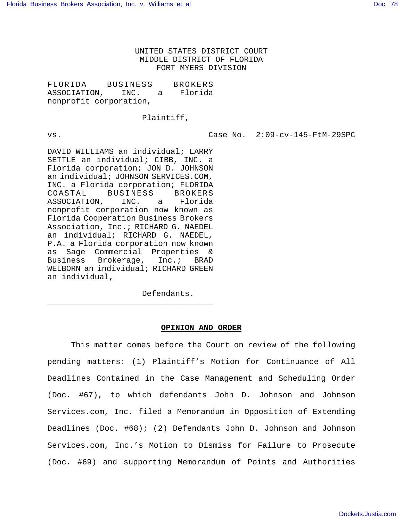UNITED STATES DISTRICT COURT MIDDLE DISTRICT OF FLORIDA FORT MYERS DIVISION

FLORIDA BUSINESS BROKERS ASSOCIATION, INC. a Florida nonprofit corporation,

Plaintiff,

vs. Case No. 2:09-cv-145-FtM-29SPC

DAVID WILLIAMS an individual; LARRY SETTLE an individual; CIBB, INC. a Florida corporation; JON D. JOHNSON an individual; JOHNSON SERVICES.COM, INC. a Florida corporation; FLORIDA COASTAL BUSINESS BROKERS ASSOCIATION, INC. a Florida nonprofit corporation now known as Florida Cooperation Business Brokers Association, Inc.; RICHARD G. NAEDEL an individual; RICHARD G. NAEDEL, P.A. a Florida corporation now known as Sage Commercial Properties & Business Brokerage, Inc.; BRAD WELBORN an individual; RICHARD GREEN an individual,

\_\_\_\_\_\_\_\_\_\_\_\_\_\_\_\_\_\_\_\_\_\_\_\_\_\_\_\_\_\_\_\_\_\_\_

Defendants.

## **OPINION AND ORDER**

This matter comes before the Court on review of the following pending matters: (1) Plaintiff's Motion for Continuance of All Deadlines Contained in the Case Management and Scheduling Order (Doc. #67), to which defendants John D. Johnson and Johnson Services.com, Inc. filed a Memorandum in Opposition of Extending Deadlines (Doc. #68); (2) Defendants John D. Johnson and Johnson Services.com, Inc.'s Motion to Dismiss for Failure to Prosecute (Doc. #69) and supporting Memorandum of Points and Authorities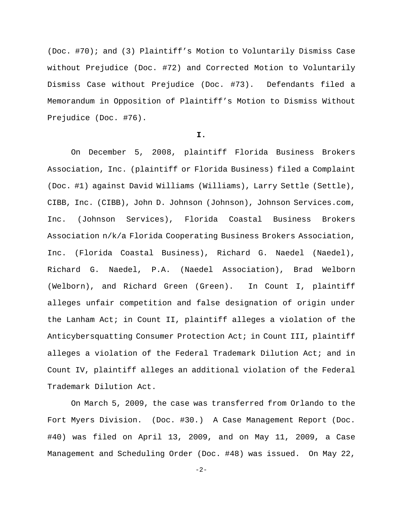(Doc. #70); and (3) Plaintiff's Motion to Voluntarily Dismiss Case without Prejudice (Doc. #72) and Corrected Motion to Voluntarily Dismiss Case without Prejudice (Doc. #73). Defendants filed a Memorandum in Opposition of Plaintiff's Motion to Dismiss Without Prejudice (Doc. #76).

### **I.**

On December 5, 2008, plaintiff Florida Business Brokers Association, Inc. (plaintiff or Florida Business) filed a Complaint (Doc. #1) against David Williams (Williams), Larry Settle (Settle), CIBB, Inc. (CIBB), John D. Johnson (Johnson), Johnson Services.com, Inc. (Johnson Services), Florida Coastal Business Brokers Association n/k/a Florida Cooperating Business Brokers Association, Inc. (Florida Coastal Business), Richard G. Naedel (Naedel), Richard G. Naedel, P.A. (Naedel Association), Brad Welborn (Welborn), and Richard Green (Green). In Count I, plaintiff alleges unfair competition and false designation of origin under the Lanham Act; in Count II, plaintiff alleges a violation of the Anticybersquatting Consumer Protection Act; in Count III, plaintiff alleges a violation of the Federal Trademark Dilution Act; and in Count IV, plaintiff alleges an additional violation of the Federal Trademark Dilution Act.

On March 5, 2009, the case was transferred from Orlando to the Fort Myers Division. (Doc. #30.) A Case Management Report (Doc. #40) was filed on April 13, 2009, and on May 11, 2009, a Case Management and Scheduling Order (Doc. #48) was issued. On May 22,

-2-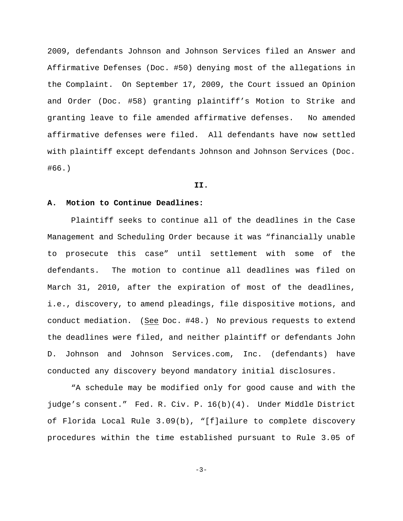2009, defendants Johnson and Johnson Services filed an Answer and Affirmative Defenses (Doc. #50) denying most of the allegations in the Complaint. On September 17, 2009, the Court issued an Opinion and Order (Doc. #58) granting plaintiff's Motion to Strike and granting leave to file amended affirmative defenses. No amended affirmative defenses were filed. All defendants have now settled with plaintiff except defendants Johnson and Johnson Services (Doc. #66.)

#### **II.**

# **A. Motion to Continue Deadlines:**

Plaintiff seeks to continue all of the deadlines in the Case Management and Scheduling Order because it was "financially unable to prosecute this case" until settlement with some of the defendants. The motion to continue all deadlines was filed on March 31, 2010, after the expiration of most of the deadlines, i.e., discovery, to amend pleadings, file dispositive motions, and conduct mediation. (See Doc. #48.) No previous requests to extend the deadlines were filed, and neither plaintiff or defendants John D. Johnson and Johnson Services.com, Inc. (defendants) have conducted any discovery beyond mandatory initial disclosures.

"A schedule may be modified only for good cause and with the judge's consent." Fed. R. Civ. P. 16(b)(4). Under Middle District of Florida Local Rule 3.09(b), "[f]ailure to complete discovery procedures within the time established pursuant to Rule 3.05 of

-3-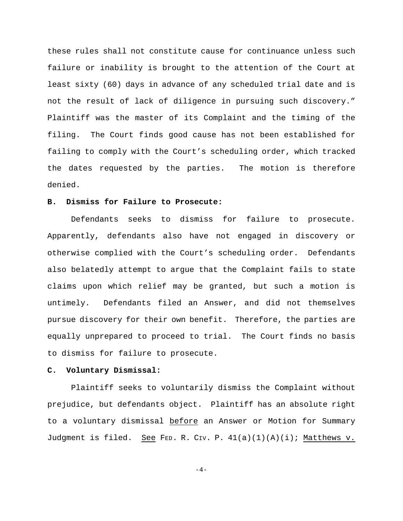these rules shall not constitute cause for continuance unless such failure or inability is brought to the attention of the Court at least sixty (60) days in advance of any scheduled trial date and is not the result of lack of diligence in pursuing such discovery." Plaintiff was the master of its Complaint and the timing of the filing. The Court finds good cause has not been established for failing to comply with the Court's scheduling order, which tracked the dates requested by the parties. The motion is therefore denied.

#### **B. Dismiss for Failure to Prosecute:**

Defendants seeks to dismiss for failure to prosecute. Apparently, defendants also have not engaged in discovery or otherwise complied with the Court's scheduling order. Defendants also belatedly attempt to argue that the Complaint fails to state claims upon which relief may be granted, but such a motion is untimely. Defendants filed an Answer, and did not themselves pursue discovery for their own benefit. Therefore, the parties are equally unprepared to proceed to trial. The Court finds no basis to dismiss for failure to prosecute.

## **C. Voluntary Dismissal:**

Plaintiff seeks to voluntarily dismiss the Complaint without prejudice, but defendants object. Plaintiff has an absolute right to a voluntary dismissal before an Answer or Motion for Summary Judgment is filed. See FED. R. CIV. P.  $41(a)(1)(A)(i)$ ; Matthews v.

 $-4-$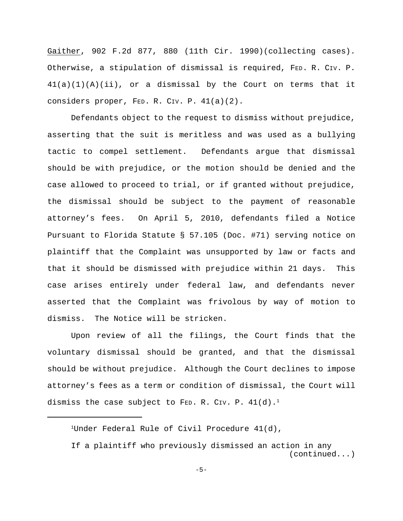Gaither, 902 F.2d 877, 880 (11th Cir. 1990)(collecting cases). Otherwise, a stipulation of dismissal is required, FED. R. CIV. P.  $41(a)(1)(A)(ii)$ , or a dismissal by the Court on terms that it considers proper, FED. R. CIV. P. 41(a)(2).

Defendants object to the request to dismiss without prejudice, asserting that the suit is meritless and was used as a bullying tactic to compel settlement. Defendants argue that dismissal should be with prejudice, or the motion should be denied and the case allowed to proceed to trial, or if granted without prejudice, the dismissal should be subject to the payment of reasonable attorney's fees. On April 5, 2010, defendants filed a Notice Pursuant to Florida Statute § 57.105 (Doc. #71) serving notice on plaintiff that the Complaint was unsupported by law or facts and that it should be dismissed with prejudice within 21 days. This case arises entirely under federal law, and defendants never asserted that the Complaint was frivolous by way of motion to dismiss. The Notice will be stricken.

Upon review of all the filings, the Court finds that the voluntary dismissal should be granted, and that the dismissal should be without prejudice. Although the Court declines to impose attorney's fees as a term or condition of dismissal, the Court will dismiss the case subject to FED. R. CIV. P.  $41(d)$ . $^1$ 

<sup>1</sup>Under Federal Rule of Civil Procedure  $41(d)$ ,

If a plaintiff who previously dismissed an action in any (continued...)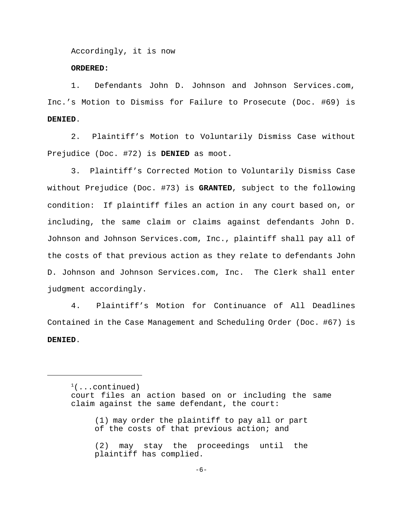Accordingly, it is now

# **ORDERED:**

1. Defendants John D. Johnson and Johnson Services.com, Inc.'s Motion to Dismiss for Failure to Prosecute (Doc. #69) is **DENIED**.

2. Plaintiff's Motion to Voluntarily Dismiss Case without Prejudice (Doc. #72) is **DENIED** as moot.

3. Plaintiff's Corrected Motion to Voluntarily Dismiss Case without Prejudice (Doc. #73) is **GRANTED**, subject to the following condition: If plaintiff files an action in any court based on, or including, the same claim or claims against defendants John D. Johnson and Johnson Services.com, Inc., plaintiff shall pay all of the costs of that previous action as they relate to defendants John D. Johnson and Johnson Services.com, Inc. The Clerk shall enter judgment accordingly.

4. Plaintiff's Motion for Continuance of All Deadlines Contained in the Case Management and Scheduling Order (Doc. #67) is **DENIED**.

 $(1.1 \cdot \text{continued})$ court files an action based on or including the same claim against the same defendant, the court:

<sup>(1)</sup> may order the plaintiff to pay all or part of the costs of that previous action; and

<sup>(2)</sup> may stay the proceedings until the plaintiff has complied.